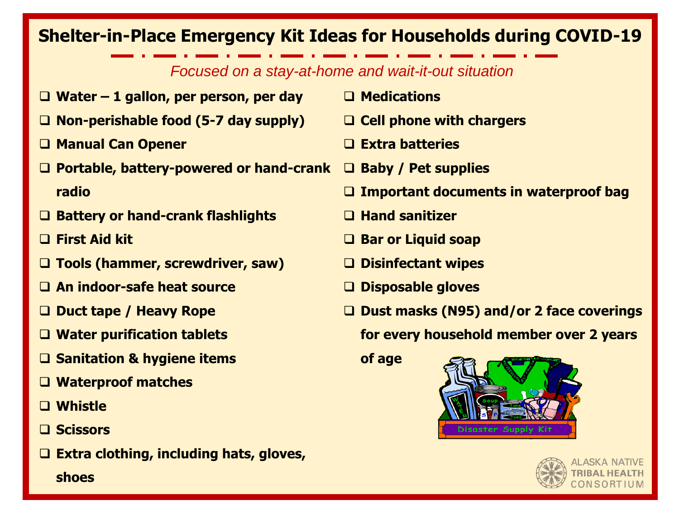## **Shelter-in-Place Emergency Kit Ideas for Households during COVID-19**

## *Focused on a stay-at-home and wait-it-out situation*

- **Water – 1 gallon, per person, per day**
- **Non-perishable food (5-7 day supply)**
- **Manual Can Opener**
- **Portable, battery-powered or hand-crank Baby / Pet supplies radio**
- **Battery or hand-crank flashlights**
- **First Aid kit**
- **Tools (hammer, screwdriver, saw)**
- **An indoor-safe heat source**
- **Duct tape / Heavy Rope**
- **Water purification tablets**
- **Sanitation & hygiene items**
- **Waterproof matches**
- **Whistle**
- **Scissors**
- **Extra clothing, including hats, gloves,** 
	- **shoes**
- **Medications**
- **Cell phone with chargers**
- **Extra batteries**
- 
- **Important documents in waterproof bag**
- **Hand sanitizer**
- **Bar or Liquid soap**
- **Disinfectant wipes**
- **Disposable gloves**
- **Dust masks (N95) and/or 2 face coverings for every household member over 2 years**

**of age**